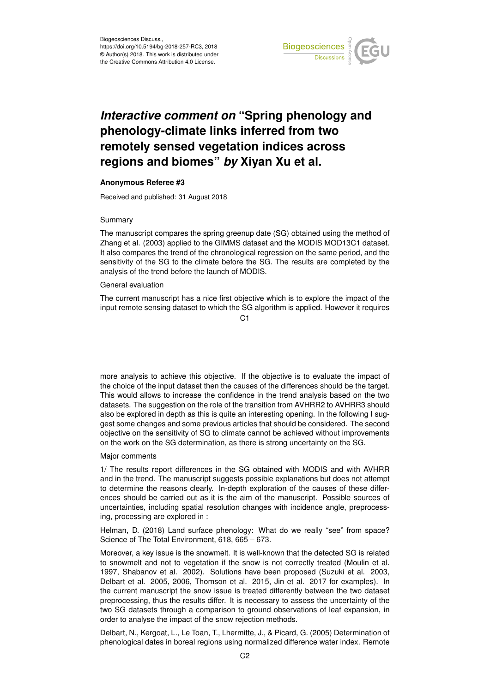

# *Interactive comment on* **"Spring phenology and phenology-climate links inferred from two remotely sensed vegetation indices across regions and biomes"** *by* **Xiyan Xu et al.**

### **Anonymous Referee #3**

Received and published: 31 August 2018

#### Summary

The manuscript compares the spring greenup date (SG) obtained using the method of Zhang et al. (2003) applied to the GIMMS dataset and the MODIS MOD13C1 dataset. It also compares the trend of the chronological regression on the same period, and the sensitivity of the SG to the climate before the SG. The results are completed by the analysis of the trend before the launch of MODIS.

#### General evaluation

The current manuscript has a nice first objective which is to explore the impact of the input remote sensing dataset to which the SG algorithm is applied. However it requires

C1

more analysis to achieve this objective. If the objective is to evaluate the impact of the choice of the input dataset then the causes of the differences should be the target. This would allows to increase the confidence in the trend analysis based on the two datasets. The suggestion on the role of the transition from AVHRR2 to AVHRR3 should also be explored in depth as this is quite an interesting opening. In the following I suggest some changes and some previous articles that should be considered. The second objective on the sensitivity of SG to climate cannot be achieved without improvements on the work on the SG determination, as there is strong uncertainty on the SG.

#### Major comments

1/ The results report differences in the SG obtained with MODIS and with AVHRR and in the trend. The manuscript suggests possible explanations but does not attempt to determine the reasons clearly. In-depth exploration of the causes of these differences should be carried out as it is the aim of the manuscript. Possible sources of uncertainties, including spatial resolution changes with incidence angle, preprocessing, processing are explored in :

Helman, D. (2018) Land surface phenology: What do we really "see" from space? Science of The Total Environment, 618, 665 – 673.

Moreover, a key issue is the snowmelt. It is well-known that the detected SG is related to snowmelt and not to vegetation if the snow is not correctly treated (Moulin et al. 1997, Shabanov et al. 2002). Solutions have been proposed (Suzuki et al. 2003, Delbart et al. 2005, 2006, Thomson et al. 2015, Jin et al. 2017 for examples). In the current manuscript the snow issue is treated differently between the two dataset preprocessing, thus the results differ. It is necessary to assess the uncertainty of the two SG datasets through a comparison to ground observations of leaf expansion, in order to analyse the impact of the snow rejection methods.

Delbart, N., Kergoat, L., Le Toan, T., Lhermitte, J., & Picard, G. (2005) Determination of phenological dates in boreal regions using normalized difference water index. Remote